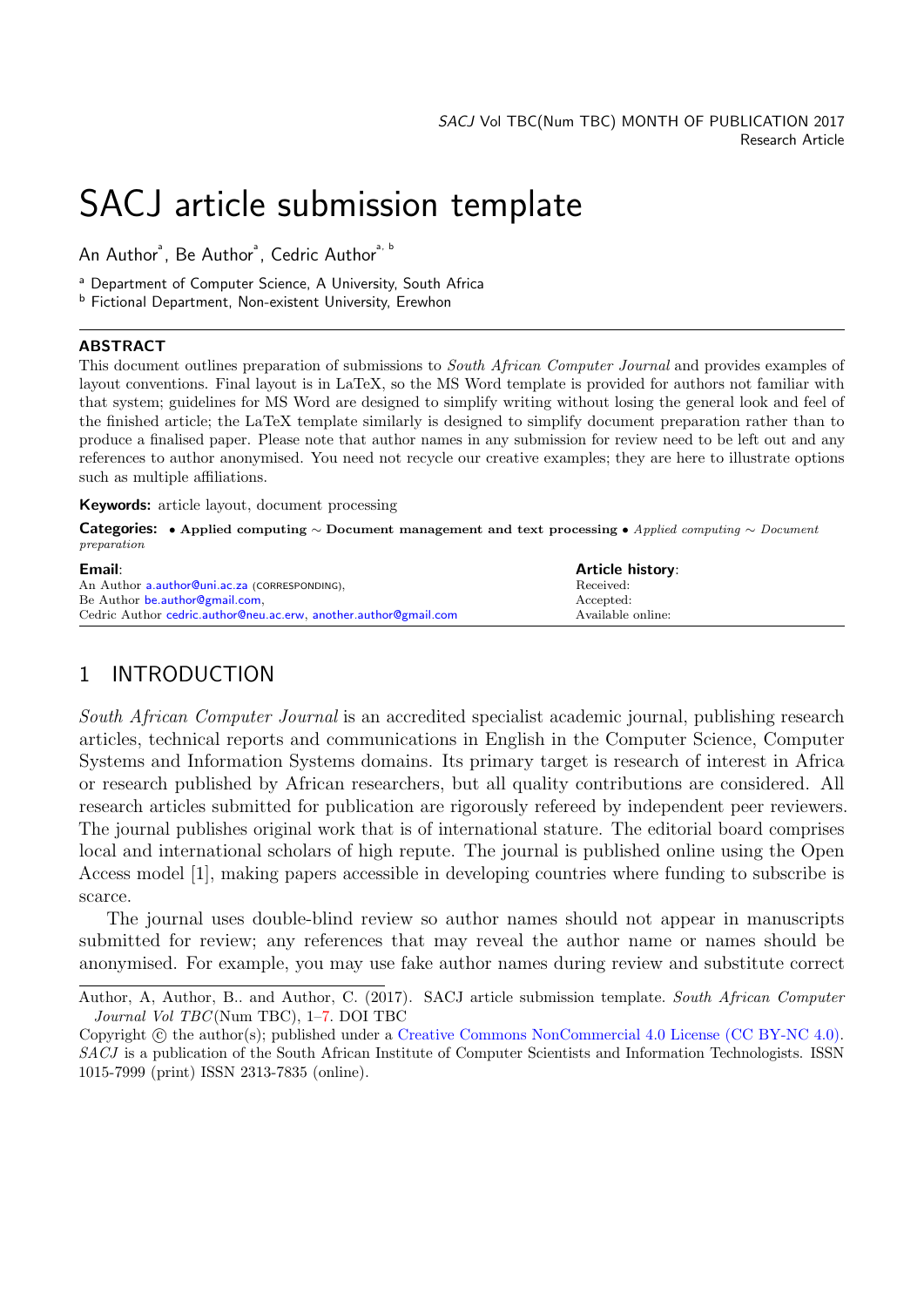# SACJ article submission template

An Author $^\circ$ , Be Author $^\circ$ , Cedric Author $^{\raisebox{1pt}{\text{\circle*{1.5}}}}$   $^\circ$ 

<sup>a</sup> Department of Computer Science, A University, South Africa

b Fictional Department, Non-existent University, Erewhon

#### ABSTRACT

This document outlines preparation of submissions to South African Computer Journal and provides examples of layout conventions. Final layout is in LaTeX, so the MS Word template is provided for authors not familiar with that system; guidelines for MS Word are designed to simplify writing without losing the general look and feel of the finished article; the LaTeX template similarly is designed to simplify document preparation rather than to produce a finalised paper. Please note that author names in any submission for review need to be left out and any references to author anonymised. You need not recycle our creative examples; they are here to illustrate options such as multiple affiliations.

Keywords: article layout, document processing

Categories: • Applied computing ∼ Document management and text processing • Applied computing ∼ Document preparation

| Email:                                                           | <b>Article history:</b> |
|------------------------------------------------------------------|-------------------------|
| An Author a.author@uni.ac.za (CORRESPONDING),                    | Received:               |
| Be Author be author Ogmail.com,                                  | Accepted:               |
| Cedric Author cedric.author@neu.ac.erw, another.author@gmail.com | Available online:       |

# 1 INTRODUCTION

South African Computer Journal is an accredited specialist academic journal, publishing research articles, technical reports and communications in English in the Computer Science, Computer Systems and Information Systems domains. Its primary target is research of interest in Africa or research published by African researchers, but all quality contributions are considered. All research articles submitted for publication are rigorously refereed by independent peer reviewers. The journal publishes original work that is of international stature. The editorial board comprises local and international scholars of high repute. The journal is published online using the Open Access model [\[1\]](#page-5-0), making papers accessible in developing countries where funding to subscribe is scarce.

The journal uses double-blind review so author names should not appear in manuscripts submitted for review; any references that may reveal the author name or names should be anonymised. For example, you may use fake author names during review and substitute correct

Author, A, Author, B.. and Author, C. (2017). SACJ article submission template. South African Computer Journal Vol TBC (Num TBC), 1[–7.](#page-6-0) DOI TBC

Copyright  $\odot$  the author(s); published under a [Creative Commons NonCommercial 4.0 License \(CC BY-NC 4.0\).](http://creativecommons.org/licenses/by-nc/4.0/) SACJ is a publication of the South African Institute of Computer Scientists and Information Technologists. ISSN 1015-7999 (print) ISSN 2313-7835 (online).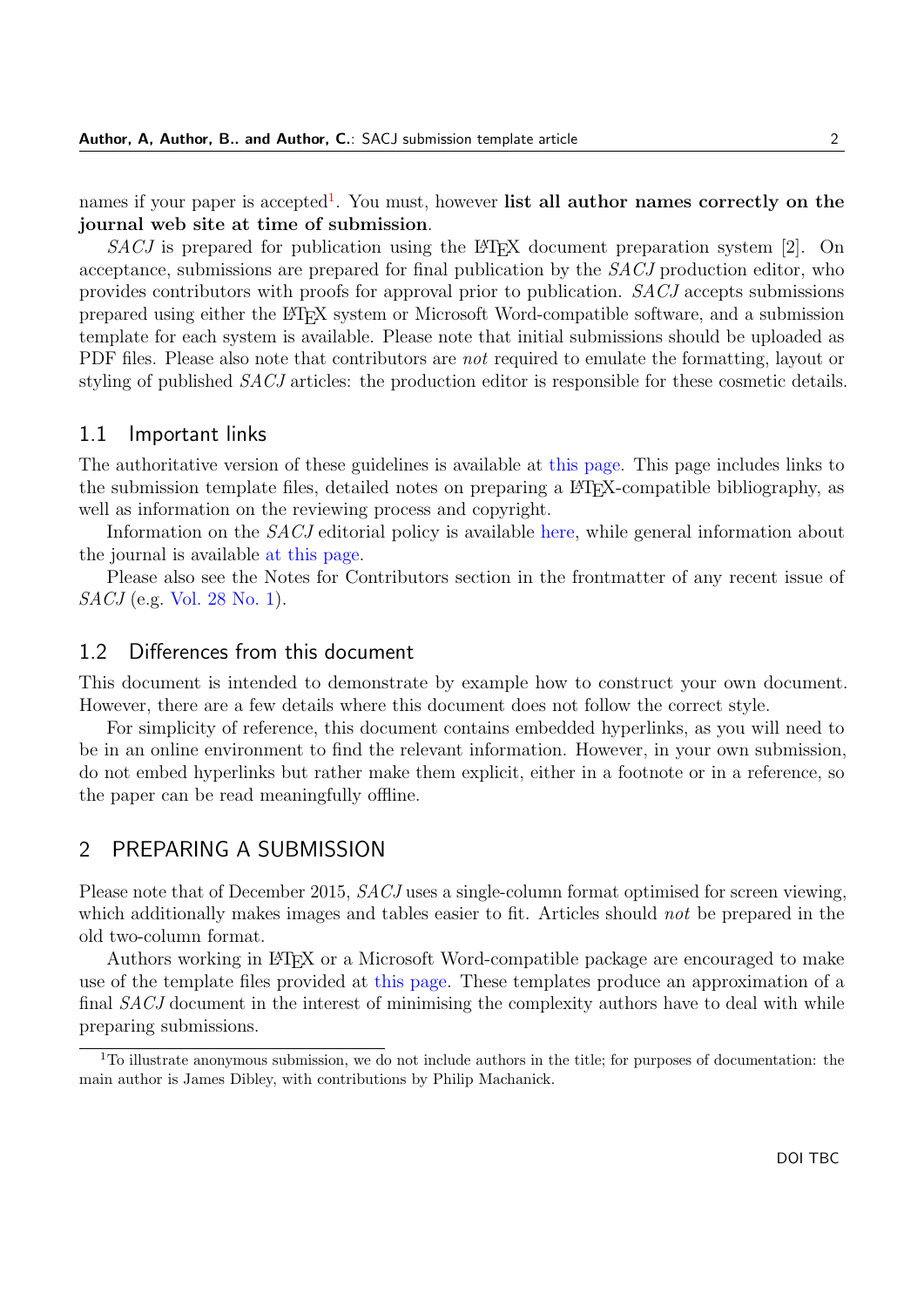names if your paper is accepted<sup>[1](#page-1-0)</sup>. You must, however list all author names correctly on the journal web site at time of submission.

 $SACJ$  is prepared for publication using the LATEX document preparation system [\[2\]](#page-5-1). On acceptance, submissions are prepared for final publication by the SACJ production editor, who provides contributors with proofs for approval prior to publication. SACJ accepts submissions prepared using either the LATEX system or Microsoft Word-compatible software, and a submission template for each system is available. Please note that initial submissions should be uploaded as PDF files. Please also note that contributors are *not* required to emulate the formatting, layout or styling of published SACJ articles: the production editor is responsible for these cosmetic details.

#### 1.1 Important links

The authoritative version of these guidelines is available at [this page.](http://sacj.cs.uct.ac.za/index.php/sacj/about/submissions) This page includes links to the submission template files, detailed notes on preparing a L<sup>AT</sup>EX-compatible bibliography, as well as information on the reviewing process and copyright.

Information on the SACJ editorial policy is available [here,](http://sacj.cs.uct.ac.za/index.php/sacj/about/editorialPolicies) while general information about the journal is available [at this page.](http://sacj.cs.uct.ac.za/index.php/sacj/about)

Please also see the Notes for Contributors section in the frontmatter of any recent issue of SACJ (e.g. [Vol. 28 No. 1\)](http://sacj.cs.uct.ac.za/index.php/sacj/article/view/403/184).

## 1.2 Differences from this document

This document is intended to demonstrate by example how to construct your own document. However, there are a few details where this document does not follow the correct style.

For simplicity of reference, this document contains embedded hyperlinks, as you will need to be in an online environment to find the relevant information. However, in your own submission, do not embed hyperlinks but rather make them explicit, either in a footnote or in a reference, so the paper can be read meaningfully offline.

# 2 PREPARING A SUBMISSION

Please note that of December 2015, *SACJ* uses a single-column format optimised for screen viewing, which additionally makes images and tables easier to fit. Articles should not be prepared in the old two-column format.

Authors working in LATEX or a Microsoft Word-compatible package are encouraged to make use of the template files provided at [this page.](http://sacj.cs.uct.ac.za/index.php/sacj/about/submissions#authorGuidelines) These templates produce an approximation of a final *SACJ* document in the interest of minimising the complexity authors have to deal with while preparing submissions.

<span id="page-1-0"></span><sup>&</sup>lt;sup>1</sup>To illustrate anonymous submission, we do not include authors in the title; for purposes of documentation: the main author is James Dibley, with contributions by Philip Machanick.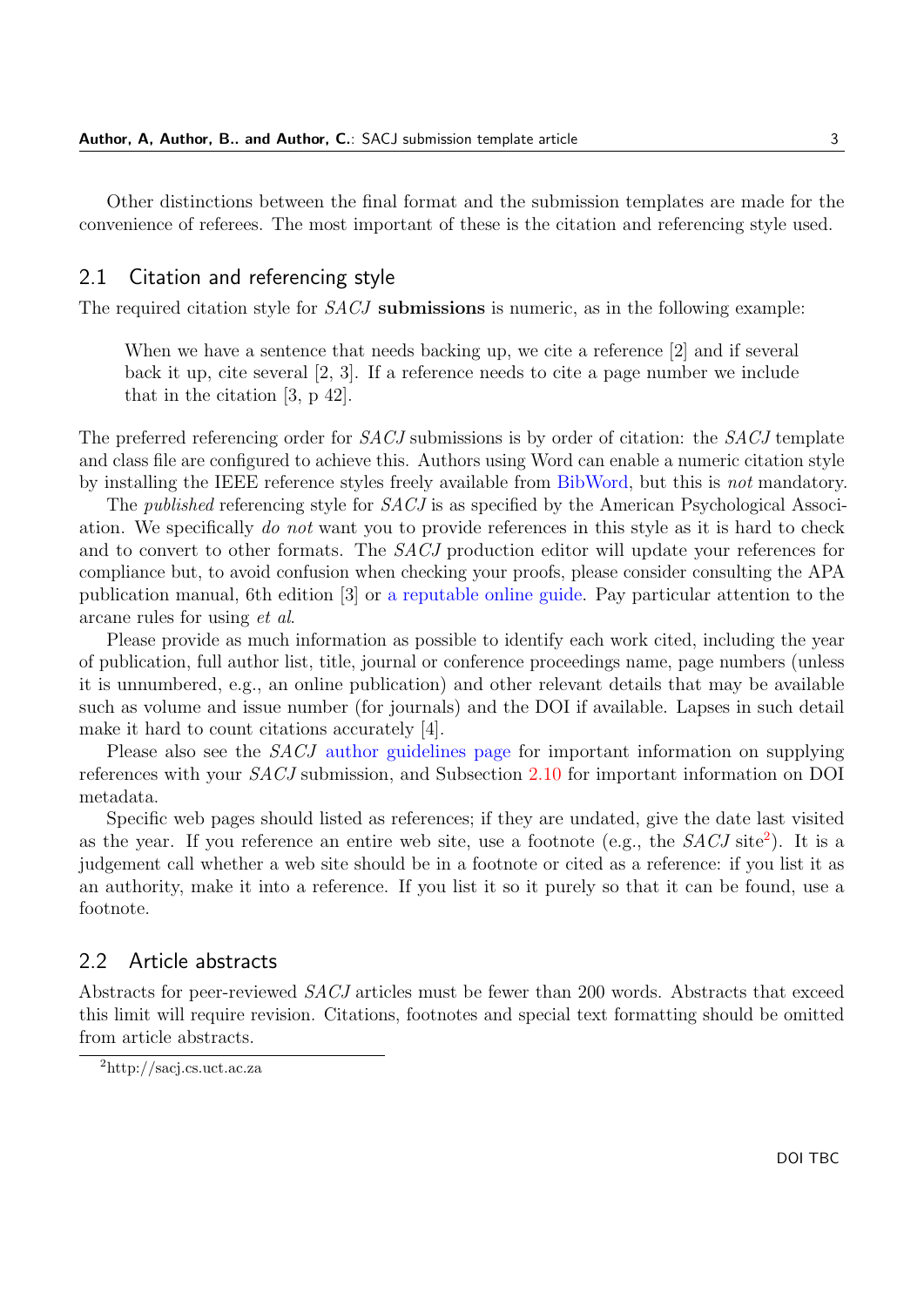Other distinctions between the final format and the submission templates are made for the convenience of referees. The most important of these is the citation and referencing style used.

#### <span id="page-2-1"></span>2.1 Citation and referencing style

The required citation style for *SACJ* submissions is numeric, as in the following example:

When we have a sentence that needs backing up, we cite a reference [\[2\]](#page-5-1) and if several back it up, cite several [\[2,](#page-5-1) [3\]](#page-5-2). If a reference needs to cite a page number we include that in the citation [\[3,](#page-5-2) p 42].

The preferred referencing order for *SACJ* submissions is by order of citation: the *SACJ* template and class file are configured to achieve this. Authors using Word can enable a numeric citation style by installing the IEEE reference styles freely available from [BibWord,](https://bibword.codeplex.com) but this is not mandatory.

The *published* referencing style for *SACJ* is as specified by the American Psychological Association. We specifically do not want you to provide references in this style as it is hard to check and to convert to other formats. The SACJ production editor will update your references for compliance but, to avoid confusion when checking your proofs, please consider consulting the APA publication manual, 6th edition [\[3\]](#page-5-2) or [a reputable online guide.](https://owl.english.purdue.edu/owl/resource/560/05/) Pay particular attention to the arcane rules for using et al.

Please provide as much information as possible to identify each work cited, including the year of publication, full author list, title, journal or conference proceedings name, page numbers (unless it is unnumbered, e.g., an online publication) and other relevant details that may be available such as volume and issue number (for journals) and the DOI if available. Lapses in such detail make it hard to count citations accurately [\[4\]](#page-5-3).

Please also see the *SACJ* [author guidelines page](http://sacj.cs.uct.ac.za/index.php/sacj/about/submissions#authorGuidelines) for important information on supplying references with your SACJ submission, and Subsection [2.10](#page-5-4) for important information on DOI metadata.

Specific web pages should listed as references; if they are undated, give the date last visited as the year. If you reference an entire web site, use a footnote (e.g., the  $SACJ$  site<sup>[2](#page-2-0)</sup>). It is a judgement call whether a web site should be in a footnote or cited as a reference: if you list it as an authority, make it into a reference. If you list it so it purely so that it can be found, use a footnote.

# 2.2 Article abstracts

Abstracts for peer-reviewed SACJ articles must be fewer than 200 words. Abstracts that exceed this limit will require revision. Citations, footnotes and special text formatting should be omitted from article abstracts.

<span id="page-2-0"></span><sup>2</sup>http://sacj.cs.uct.ac.za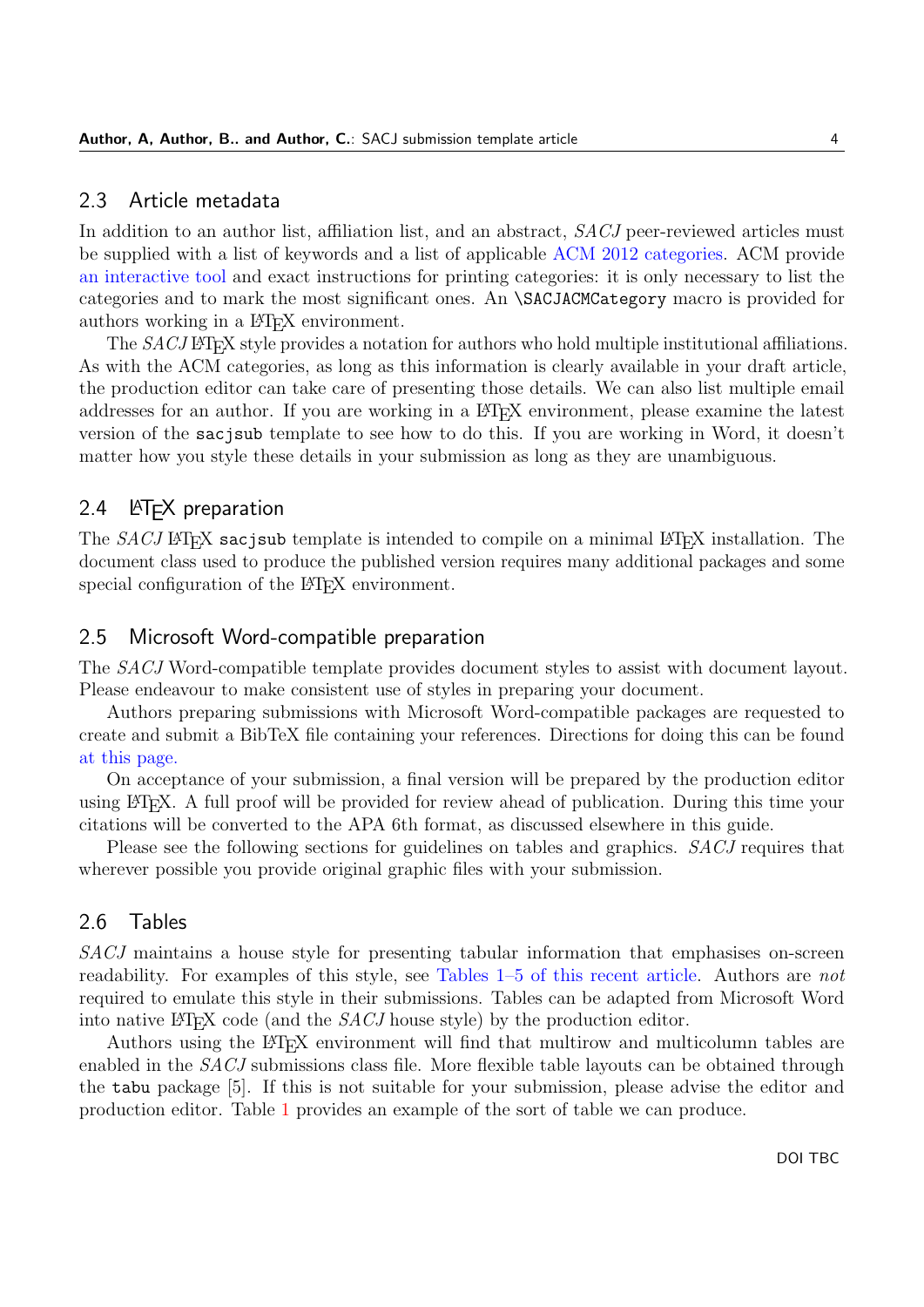#### 2.3 Article metadata

In addition to an author list, affiliation list, and an abstract, SACJ peer-reviewed articles must be supplied with a list of keywords and a list of applicable [ACM 2012 categories.](https://dl.acm.org/ccs/ccs.cfm?) ACM provide [an interactive tool](http://dl.acm.org/ccs/ccs.cfm) and exact instructions for printing categories: it is only necessary to list the categories and to mark the most significant ones. An \SACJACMCategory macro is provided for authors working in a L<sup>AT</sup>FX environment.

The SACJ LATEX style provides a notation for authors who hold multiple institutional affiliations. As with the ACM categories, as long as this information is clearly available in your draft article, the production editor can take care of presenting those details. We can also list multiple email addresses for an author. If you are working in a L<sup>AT</sup>EX environment, please examine the latest version of the sacjsub template to see how to do this. If you are working in Word, it doesn't matter how you style these details in your submission as long as they are unambiguous.

# 2.4 **LATEX** preparation

The  $SACJ$  LATEX sacjoub template is intended to compile on a minimal LATEX installation. The document class used to produce the published version requires many additional packages and some special configuration of the LAT<sub>EX</sub> environment.

## 2.5 Microsoft Word-compatible preparation

The SACJ Word-compatible template provides document styles to assist with document layout. Please endeavour to make consistent use of styles in preparing your document.

Authors preparing submissions with Microsoft Word-compatible packages are requested to create and submit a BibTeX file containing your references. Directions for doing this can be found [at this page.](http://sacj.cs.uct.ac.za/index.php/sacj/about/submissions#authorGuidelines)

On acceptance of your submission, a final version will be prepared by the production editor using LATEX. A full proof will be provided for review ahead of publication. During this time your citations will be converted to the APA 6th format, as discussed elsewhere in this guide.

Please see the following sections for guidelines on tables and graphics. SACJ requires that wherever possible you provide original graphic files with your submission.

#### 2.6 Tables

SACJ maintains a house style for presenting tabular information that emphasises on-screen readability. For examples of this style, see [Tables 1–5 of this recent article.](http://sacj.cs.uct.ac.za/index.php/sacj/article/view/367/180) Authors are not required to emulate this style in their submissions. Tables can be adapted from Microsoft Word into native LAT<sub>E</sub>X code (and the  $SACJ$  house style) by the production editor.

Authors using the LATEX environment will find that multirow and multicolumn tables are enabled in the SACJ submissions class file. More flexible table layouts can be obtained through the tabu package [\[5\]](#page-6-1). If this is not suitable for your submission, please advise the editor and production editor. Table [1](#page-4-0) provides an example of the sort of table we can produce.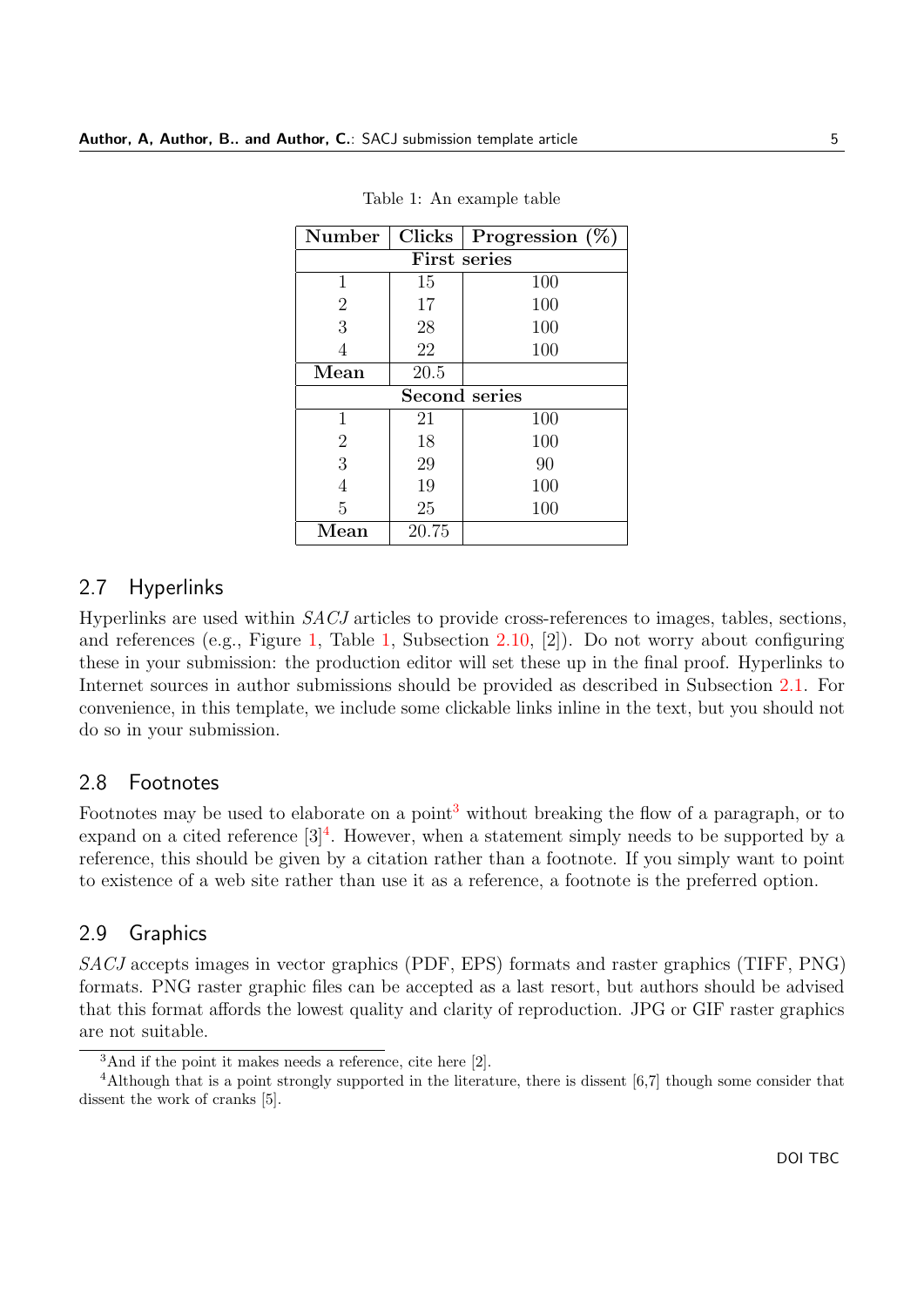<span id="page-4-0"></span>

| Number                | <b>Clicks</b> | Progression $(\%$ |
|-----------------------|---------------|-------------------|
| First series          |               |                   |
| 1                     | 15            | 100               |
| $\overline{2}$        | 17            | 100               |
| 3                     | 28            | 100               |
| 4                     | 22            | 100               |
| Mean                  | 20.5          |                   |
| <b>Second series</b>  |               |                   |
| 1                     | 21            | 100               |
| $\overline{2}$        | 18            | 100               |
| 3                     | 29            | 90                |
| 4                     | 19            | 100               |
| 5                     | 25            | 100               |
| $\operatorname{Mean}$ | 20.75         |                   |

Table 1: An example table

# 2.7 Hyperlinks

Hyperlinks are used within SACJ articles to provide cross-references to images, tables, sections, and references (e.g., Figure [1,](#page-5-5) Table [1,](#page-4-0) Subsection [2.10,](#page-5-4) [\[2\]](#page-5-1)). Do not worry about configuring these in your submission: the production editor will set these up in the final proof. Hyperlinks to Internet sources in author submissions should be provided as described in Subsection [2.1.](#page-2-1) For convenience, in this template, we include some clickable links inline in the text, but you should not do so in your submission.

#### 2.8 Footnotes

Footnotes may be used to elaborate on a point<sup>[3](#page-4-1)</sup> without breaking the flow of a paragraph, or to expand on a cited reference  $[3]^4$  $[3]^4$  $[3]^4$ . However, when a statement simply needs to be supported by a reference, this should be given by a citation rather than a footnote. If you simply want to point to existence of a web site rather than use it as a reference, a footnote is the preferred option.

### 2.9 Graphics

SACJ accepts images in vector graphics (PDF, EPS) formats and raster graphics (TIFF, PNG) formats. PNG raster graphic files can be accepted as a last resort, but authors should be advised that this format affords the lowest quality and clarity of reproduction. JPG or GIF raster graphics are not suitable.

<span id="page-4-2"></span><span id="page-4-1"></span><sup>&</sup>lt;sup>3</sup>And if the point it makes needs a reference, cite here [\[2\]](#page-5-1).

<sup>&</sup>lt;sup>4</sup>Although that is a point strongly supported in the literature, there is dissent [6,7] though some consider that dissent the work of cranks [5].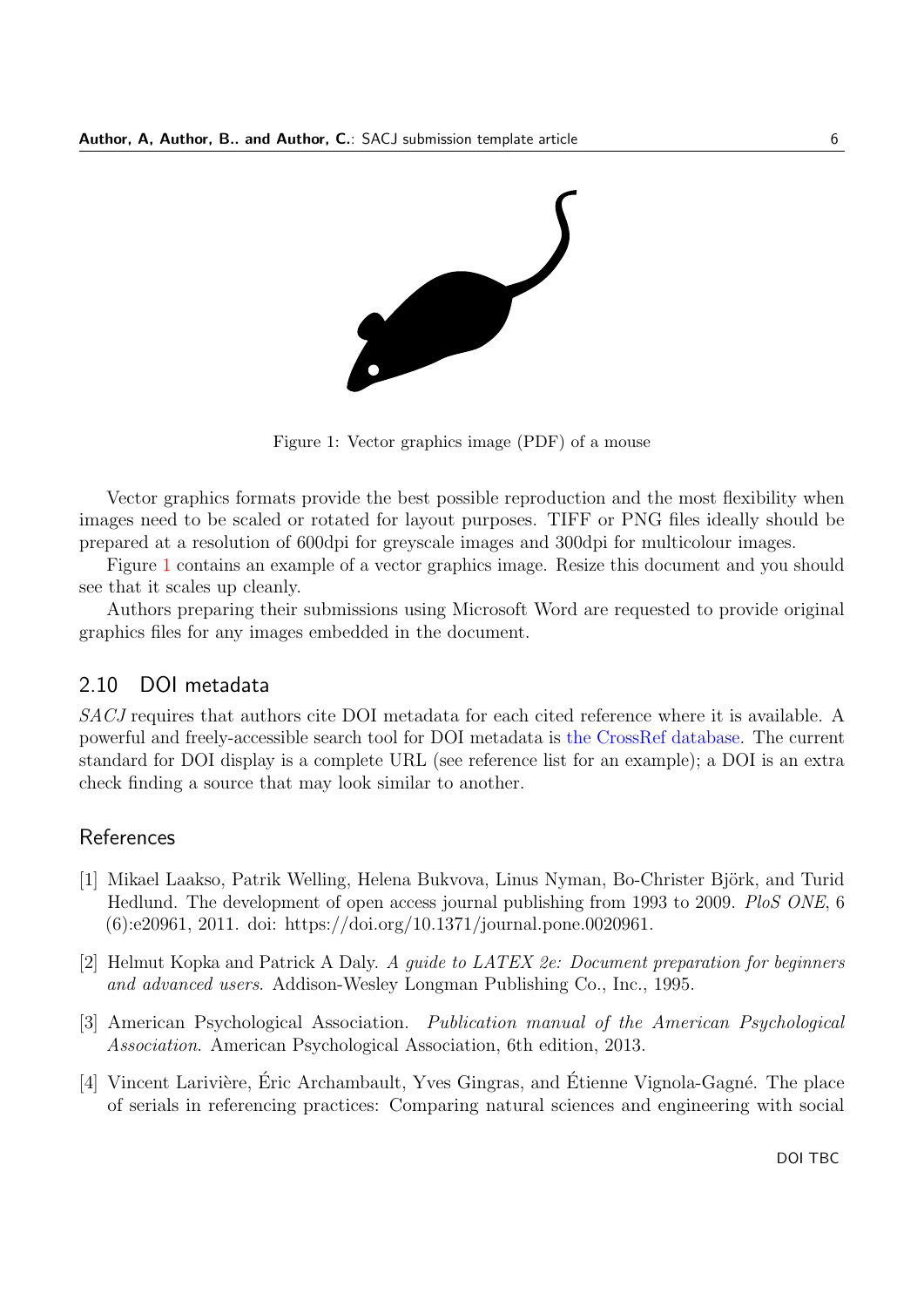<span id="page-5-5"></span>

Figure 1: Vector graphics image (PDF) of a mouse

Vector graphics formats provide the best possible reproduction and the most flexibility when images need to be scaled or rotated for layout purposes. TIFF or PNG files ideally should be prepared at a resolution of 600dpi for greyscale images and 300dpi for multicolour images.

Figure [1](#page-5-5) contains an example of a vector graphics image. Resize this document and you should see that it scales up cleanly.

Authors preparing their submissions using Microsoft Word are requested to provide original graphics files for any images embedded in the document.

# <span id="page-5-4"></span>2.10 DOI metadata

SACJ requires that authors cite DOI metadata for each cited reference where it is available. A powerful and freely-accessible search tool for DOI metadata is [the CrossRef database.](http://www.crossref.org/SimpleTextQuery/) The current standard for DOI display is a complete URL (see reference list for an example); a DOI is an extra check finding a source that may look similar to another.

# **References**

- <span id="page-5-0"></span>[1] Mikael Laakso, Patrik Welling, Helena Bukvova, Linus Nyman, Bo-Christer Björk, and Turid Hedlund. The development of open access journal publishing from 1993 to 2009. PloS ONE, 6 (6):e20961, 2011. doi: https://doi.org/10.1371/journal.pone.0020961.
- <span id="page-5-1"></span>[2] Helmut Kopka and Patrick A Daly. A guide to LATEX 2e: Document preparation for beginners and advanced users. Addison-Wesley Longman Publishing Co., Inc., 1995.
- <span id="page-5-2"></span>[3] American Psychological Association. Publication manual of the American Psychological Association. American Psychological Association, 6th edition, 2013.
- <span id="page-5-3"></span>[4] Vincent Larivière, Éric Archambault, Yves Gingras, and Étienne Vignola-Gagné. The place of serials in referencing practices: Comparing natural sciences and engineering with social